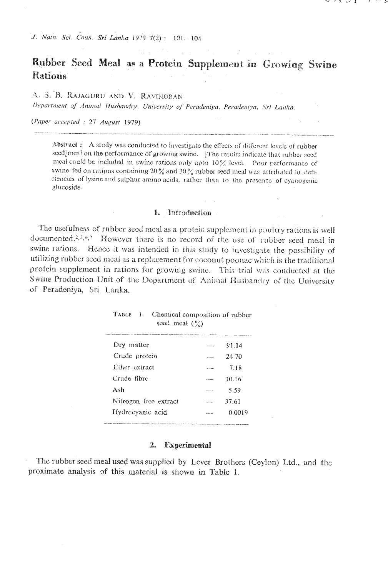# Rubber Seed Meal as a Protein Supplement in Growing Swine Rations

A. S. B. RAJAGURU AND V. RAVINDRAN

Department of Animal Husbandry. University of Peradeniya, Peradeniya, Sri Lanka.

(Paper accepted : 27 August 1979)

Abstract: A study was conducted to investigate the effects of different levels of rubber seed/meal on the performance of growing swine. The results indicate that rubber seed meal could be included in swine rations only upto 10% level. Poor performance of swine fed on rations containing 20  $\%$  and 30  $\%$  rubber seed meal was attributed to deficiencies of lysine and sulphur amino acids, rather than to the presence of cyanogenic glucoside.

#### 1. Introduction

The usefulness of rubber seed meal as a protein supplement in poultry rations is well documented.<sup>2,3,6,7</sup> However there is no record of the use of rubber seed meal in swine rations. Hence it was intended in this study to investigate the possibility of utilizing rubber seed meal as a replacement for coconut poonae which is the traditional protein supplement in rations for growing swine. This trial was conducted at the Swine Production Unit of the Department of Animal Husbandry of the University of Peradeniya, Sri Lanka.

| TABLE 1. Chemical composition of rubber<br>seed meal $(\%)$ |                    |        |
|-------------------------------------------------------------|--------------------|--------|
| Dry matter                                                  | <b>Base Ad</b>     | 91.14  |
| Crude protein                                               |                    | 24.70  |
| Ether extract                                               | <b>All College</b> | 7.18   |
| Crude fibre                                                 |                    | 10.16  |
| Ash                                                         |                    | 5.59   |
| Nitrogen free extract                                       | -----              | 37.61  |
| Hydrocyanic acid                                            |                    | 0.0019 |
|                                                             |                    |        |

#### 2. Experimental

The rubber seed meal used was supplied by Lever Brothers (Ceylon) Ltd., and the proximate analysis of this material is shown in Table 1.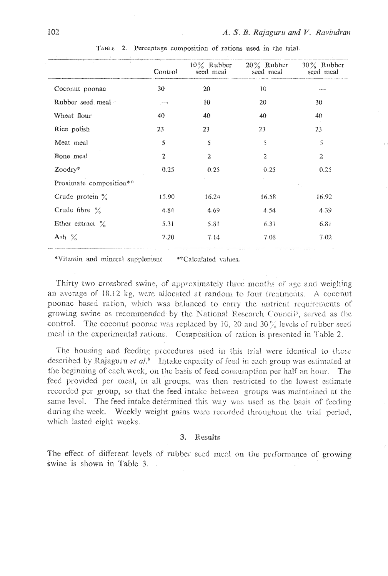|                           | Control        | seed meal        | $10\%$ Rubber $20\%$ Rubber<br>seed meal | $30\%$ Rubber<br>seed meal |
|---------------------------|----------------|------------------|------------------------------------------|----------------------------|
| Coconut poonac            | 30             | 20               | 10                                       |                            |
| Rubber seed meal          | $\cdots$       | 10               | 20                                       | 30                         |
| Wheat flour               | 40             | 40               | 40                                       | 40                         |
| Rice polish               | 23             | 23               | 23                                       | 23                         |
| Meat meal                 | 5              | 5                | 5                                        | 5                          |
| Bone meal                 | $\overline{2}$ | $\boldsymbol{2}$ | $\overline{2}$                           | $\overline{z}$             |
| Zoodry*                   | 0.25           | 0.25             | 0.25                                     | 0.25                       |
| Proximate composition**   |                |                  |                                          |                            |
| Crude protein $\%$        | 15.90          | 16.24            | 16.58                                    | 16.92                      |
| Crude fibre $\frac{9}{6}$ | 4.84           | 4.69             | 4.54                                     | 4.39                       |
| Ether extract $\%$        | 5.31           | 5.81             | 6.31                                     | 6.81                       |
| Ash $\%$                  | 7.20           | 7.14             | 7.08                                     | 7.02                       |

TABLE 2. Percentage composition of rations used in the trial.

\*Vitamin and mineral supplement \*\*Calculated values.

Thirty two crossbred swine, of approximately three months of age and weighing an average of 18.12 kg, were allocated at random to four treatments. A coconut poonac based ration, which was balanced to carry the nutrient requirements of growing swine as recommended by the National Research Council<sup>5</sup>, served as the control. The coconut poonac was replaced by 10, 20 and 30  $\%$  levels of rubber seed meal in the experimental rations. Composition of ration is presented in Table 2.

The housing and feeding procedures used in this trial were identical to those described by Rajaguru et al.<sup>8</sup> Intake capacity of feed in each group was estimated at the beginning of each week, on the basis of feed consumption per half an hour. The feed provided per meal, in all groups, was then restricted to the lowest estimate recorded per group, so that the feed intake between groups was maintained at the same level. The feed intake determined this way was used as the basis of feeding during the week. Weekly weight gains were recorded throughout the trial period, which lasted eight weeks.

## 3. Results

The effect of different levels of rubber seed meal on the performance of growing swine is shown in Table 3.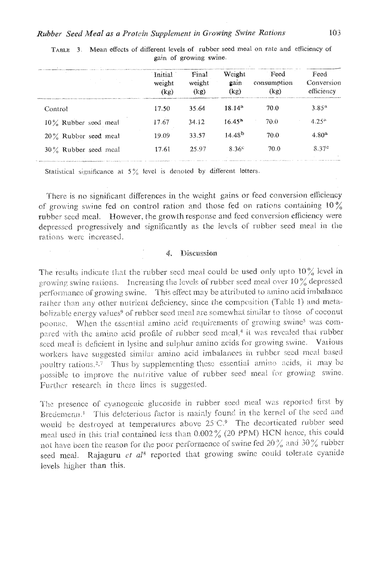|                         | Initial<br>weight<br>(kg) | Final<br>weight<br>(kg) | Weight<br>gain<br>(kg) | Feed<br>consumption<br>(kg) | Feed<br>Conversion<br>efficiency |
|-------------------------|---------------------------|-------------------------|------------------------|-----------------------------|----------------------------------|
| Control                 | 17.50                     | 35.64                   | $18.14^{a}$            | 70.0                        | $3.85^{4}$                       |
| $10\%$ Rubber seed meal | 17.67                     | 34.12                   | $16.45^{a}$            | 70.0                        | $4.25^{\circ}$                   |
| $20\%$ Rubber seed meal | 19.09                     | 33.57                   | 14.48 <sup>b</sup>     | 70.0                        | $4.80^{a}$                       |
| $30\%$ Rubber seed meal | 17.61                     | 25.97                   | 8.36c                  | 70.0                        | 8.37c                            |

TABLE 3. Mean effects of different levels of rubber seed meal on rate and efficiency of gain of growing swine.

Statistical significance at  $5\%$  level is denoted by different letters.

There is no significant differences in the weight gains or feed conversion efficiency of growing swine fed on control ration and those fed on rations containing  $10\%$ rubber seed meal. However, the growth response and feed conversion efficiency were depressed progressively and significantly as the levels of rubber seed meal in the rations were increased.

#### 4. Discussion

The results indicate that the rubber seed meal could be used only upto  $10\%$  level in growing swine rations. Increasing the levels of rubber seed meal over  $10\%$  depressed performance of growing swine. This effect may be attributed to amino acid imbalance rather than any other nutrient deficiency, since the composition (Table 1) and metabolizable energy values<sup>9</sup> of rubber seed meal are somewhat similar to those of coconut poonac. When the essential amino acid requirements of growing swine<sup>s</sup> was compared with the amino acid profile of rubber seed meal,<sup>4</sup> it was revealed that rubber seed meal is deficient in lysine and sulphur amino acids for growing swine. Various workers have suggested similar amino acid imbalances in rubber seed meal based poultry rations.<sup>2,7</sup> Thus by supplementing these essential amino acids, it may be possible to improve the nutritive value of rubber seed meal for growing swine. Further research in these lines is suggested.

The presence of cyanogenic glucoside in rubber seed meal was reported first by Bredemenn.<sup>1</sup> This deleterious factor is mainly found in the kernel of the seed and would be destroyed at temperatures above 25°C.<sup>9</sup> The decorticated rubber seed meal used in this trial contained less than 0.002% (20 PPM) HCN hence, this could not have been the reason for the poor performence of swine fed 20% and 30% rubber seed meal. Rajaguru et al<sup>8</sup> reported that growing swine could tolerate cyanide levels higher than this.